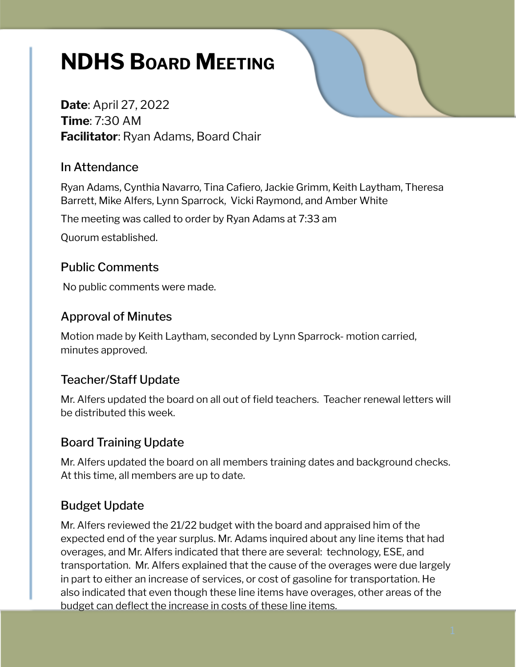# **NDHS BOARD MEETING**

**Date**: April 27, 2022 **Time**: 7:30 AM **Facilitator**: Ryan Adams, Board Chair

#### In Attendance

Ryan Adams, Cynthia Navarro, Tina Cafiero, Jackie Grimm, Keith Laytham, Theresa Barrett, Mike Alfers, Lynn Sparrock, Vicki Raymond, and Amber White

The meeting was called to order by Ryan Adams at 7:33 am

Quorum established.

## Public Comments

No public comments were made.

## Approval of Minutes

Motion made by Keith Laytham, seconded by Lynn Sparrock- motion carried, minutes approved.

## Teacher/Staff Update

Mr. Alfers updated the board on all out of field teachers. Teacher renewal letters will be distributed this week.

## Board Training Update

Mr. Alfers updated the board on all members training dates and background checks. At this time, all members are up to date.

## Budget Update

Mr. Alfers reviewed the 21/22 budget with the board and appraised him of the expected end of the year surplus. Mr. Adams inquired about any line items that had overages, and Mr. Alfers indicated that there are several: technology, ESE, and transportation. Mr. Alfers explained that the cause of the overages were due largely in part to either an increase of services, or cost of gasoline for transportation. He also indicated that even though these line items have overages, other areas of the budget can deflect the increase in costs of these line items.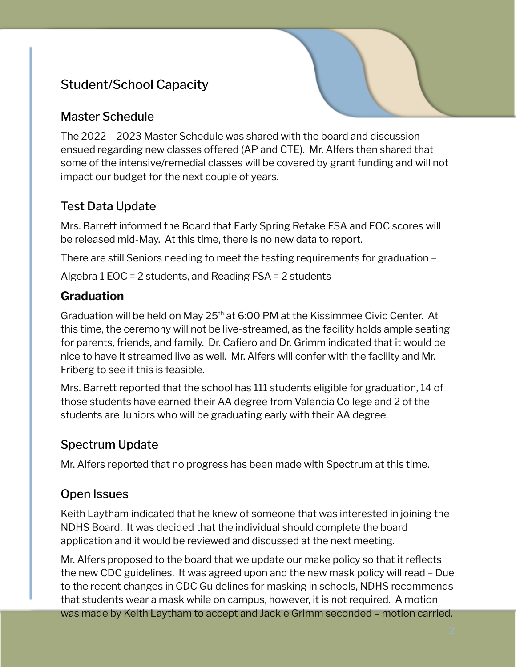## Student/School Capacity

## Master Schedule

The 2022 – 2023 Master Schedule was shared with the board and discussion ensued regarding new classes offered (AP and CTE). Mr. Alfers then shared that some of the intensive/remedial classes will be covered by grant funding and will not impact our budget for the next couple of years.

## Test Data Update

Mrs. Barrett informed the Board that Early Spring Retake FSA and EOC scores will be released mid-May. At this time, there is no new data to report.

There are still Seniors needing to meet the testing requirements for graduation –

Algebra 1 EOC = 2 students, and Reading FSA = 2 students

## **Graduation**

Graduation will be held on May 25<sup>th</sup> at 6:00 PM at the Kissimmee Civic Center. At this time, the ceremony will not be live-streamed, as the facility holds ample seating for parents, friends, and family. Dr. Cafiero and Dr. Grimm indicated that it would be nice to have it streamed live as well. Mr. Alfers will confer with the facility and Mr. Friberg to see if this is feasible.

Mrs. Barrett reported that the school has 111 students eligible for graduation, 14 of those students have earned their AA degree from Valencia College and 2 of the students are Juniors who will be graduating early with their AA degree.

## Spectrum Update

Mr. Alfers reported that no progress has been made with Spectrum at this time.

## Open Issues

Keith Laytham indicated that he knew of someone that was interested in joining the NDHS Board. It was decided that the individual should complete the board application and it would be reviewed and discussed at the next meeting.

Mr. Alfers proposed to the board that we update our make policy so that it reflects the new CDC guidelines. It was agreed upon and the new mask policy will read – Due to the recent changes in CDC Guidelines for masking in schools, NDHS recommends that students wear a mask while on campus, however, it is not required. A motion was made by Keith Laytham to accept and Jackie Grimm seconded – motion carried.